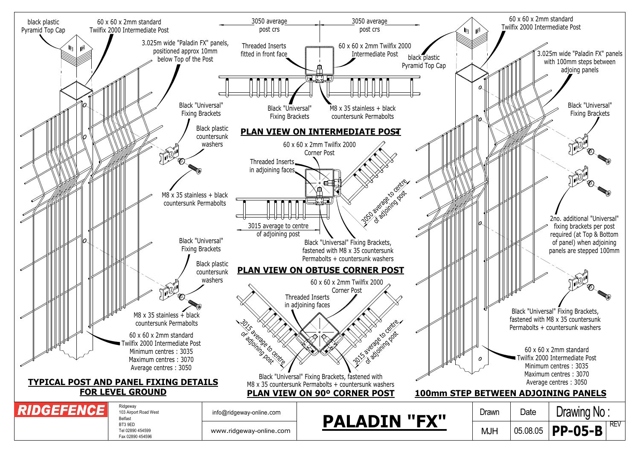